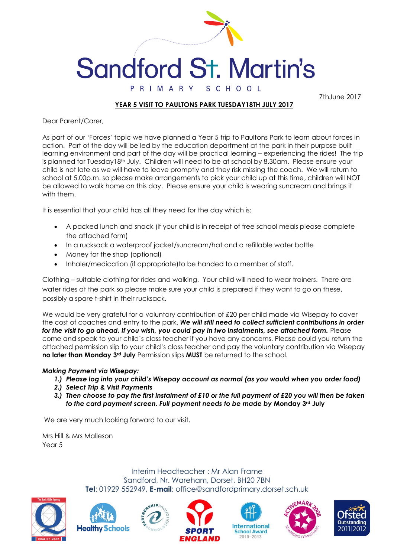

## **Sandford St. Martin's** PRIMARY SCHOOL

7thJune 2017

## **YEAR 5 VISIT TO PAULTONS PARK TUESDAY18TH JULY 2017**

Dear Parent/Carer,

As part of our 'Forces' topic we have planned a Year 5 trip to Paultons Park to learn about forces in action. Part of the day will be led by the education department at the park in their purpose built learning environment and part of the day will be practical learning – experiencing the rides! The trip is planned for Tuesday18th July. Children will need to be at school by 8.30am. Please ensure your child is not late as we will have to leave promptly and they risk missing the coach. We will return to school at 5.00p.m. so please make arrangements to pick your child up at this time, children will NOT be allowed to walk home on this day. Please ensure your child is wearing suncream and brings it with them.

It is essential that your child has all they need for the day which is:

- A packed lunch and snack (if your child is in receipt of free school meals please complete the attached form)
- In a rucksack a waterproof jacket/suncream/hat and a refillable water bottle
- Money for the shop (optional)
- Inhaler/medication (if appropriate) to be handed to a member of staff.

Clothing – suitable clothing for rides and walking. Your child will need to wear trainers. There are water rides at the park so please make sure your child is prepared if they want to go on these, possibly a spare t-shirt in their rucksack.

We would be very grateful for a voluntary contribution of £20 per child made via Wisepay to cover the cost of coaches and entry to the park. *We will still need to collect sufficient contributions in order for the visit to go ahead. If you wish, you could pay in two instalments, see attached form.* Please come and speak to your child's class teacher if you have any concerns. Please could you return the attached permission slip to your child's class teacher and pay the voluntary contribution via Wisepay **no later than Monday 3rd July** Permission slips **MUST** be returned to the school.

## *Making Payment via Wisepay:*

- *1.) Please log into your child's Wisepay account as normal (as you would when you order food)*
- *2.) Select Trip & Visit Payments*
- *3.) Then choose to pay the first instalment of £10 or the full payment of £20 you will then be taken to the card payment screen. Full payment needs to be made by* **Monday 3rd July**

We are very much looking forward to our visit.

Mrs Hill & Mrs Malleson Year 5

> Interim Headteacher : Mr Alan Frame Sandford, Nr. Wareham, Dorset, BH20 7BN **Tel**: 01929 552949, **E-mail**: office@sandfordprimary.dorset.sch.uk